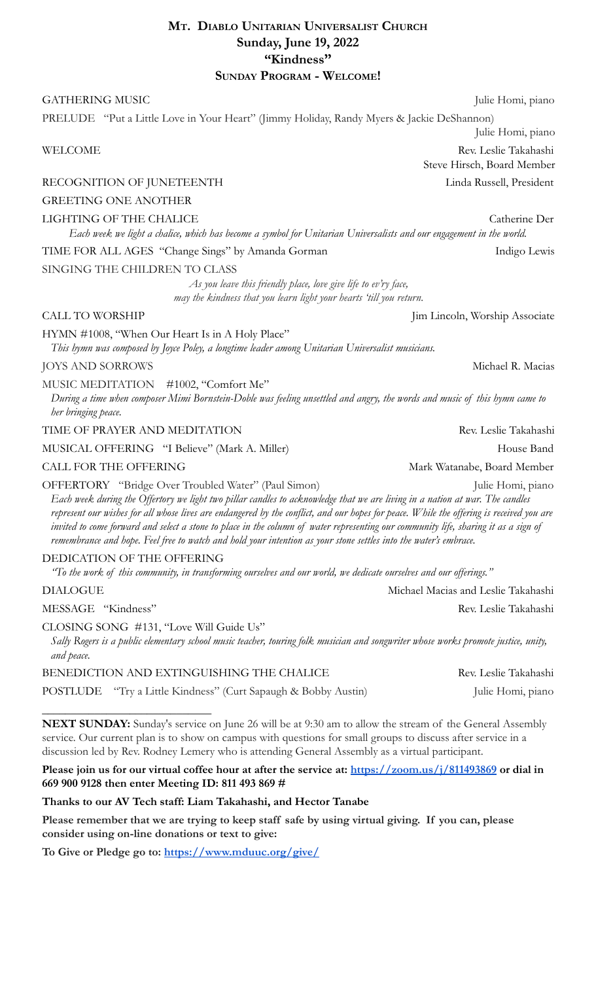# **MT. DIABLO UNITARIAN UNIVERSALIST CHURCH Sunday, June 19, 2022 "Kindness" SUNDAY PROGRAM - WELCOME!**

#### GATHERING MUSIC Julie Homi, piano

# PRELUDE "Put a Little Love in Your Heart" (Jimmy Holiday, Randy Myers & Jackie DeShannon)

### RECOGNITION OF JUNETEENTH Linda Russell, President

# GREETING ONE ANOTHER

#### LIGHTING OF THE CHALICE CALLER CATHER CATHER CATHER CATHER CATHER CATHER CATHER OF CATHERING OF THE CHALICE

*Each week we light a chalice, which has become a symbol for Unitarian Universalists and our engagement in the world.*

TIME FOR ALL AGES "Change Sings" by Amanda Gorman Indigo Lewis

### SINGING THE CHILDREN TO CLASS

*As you leave this friendly place, love give life to ev'ry face, may the kindness that you learn light your hearts 'till you return.*

#### CALL TO WORSHIP Jim Lincoln, Worship Associate

HYMN #1008, "When Our Heart Is in A Holy Place"

*This hymn was composed by Joyce Poley, a longtime leader among Unitarian Universalist musicians.*

#### JOYS AND SORROWS Michael R. Macias

MUSIC MEDITATION #1002, "Comfort Me"

*During a time when composer Mimi Bornstein-Doble was feeling unsettled and angry, the words and music of this hymn came to her bringing peace.*

## TIME OF PRAYER AND MEDITATION Rev. Leslie Takahashi

#### MUSICAL OFFERING "I Believe" (Mark A. Miller) House Band

#### CALL FOR THE OFFERING Mark Watanabe, Board Member

OFFERTORY "Bridge Over Troubled Water" (Paul Simon) Julie Homi, piano *Each week during the Offertory we light two pillar candles to acknowledge that we are living in a nation at war. The candles represent our wishes for all whose lives are endangered by the conflict, and our hopes for peace. While the offering is received you are invited to come forward and select a stone to place in the column of water representing our community life, sharing it as a sign of remembrance and hope. Feel free to watch and hold your intention as your stone settles into the water's embrace.*

#### DEDICATION OF THE OFFERING

*\_\_\_\_\_\_\_\_\_\_\_\_\_\_\_\_\_\_\_\_\_\_\_\_\_\_\_\_\_*

*"To the work of this community, in transforming ourselves and our world, we dedicate ourselves and our offerings."*

DIALOGUE **Michael Macias and Leslie Takahashi** 

MESSAGE "Kindness" Rev. Leslie Takahashi

CLOSING SONG #131, "Love Will Guide Us"

*Sally Rogers is a public elementary school music teacher, touring folk musician and songwriter whose works promote justice, unity, and peace.*

# BENEDICTION AND EXTINGUISHING THE CHALICE Rev. Leslie Takahashi

POSTLUDE "Try a Little Kindness" (Curt Sapaugh & Bobby Austin) Julie Homi, piano

**NEXT SUNDAY:** Sunday's service on June 26 will be at 9:30 am to allow the stream of the General Assembly service. Our current plan is to show on campus with questions for small groups to discuss after service in a discussion led by Rev. Rodney Lemery who is attending General Assembly as a virtual participant.

### **Please join us for our virtual coffee hour at after the service at: <https://zoom.us/j/811493869> or dial in 669 900 9128 then enter Meeting ID: 811 493 869 #**

# **Thanks to our AV Tech staff: Liam Takahashi, and Hector Tanabe**

**Please remember that we are trying to keep staff safe by using virtual giving. If you can, please consider using on-line donations or text to give:**

**To Give or Pledge go to: <https://www.mduuc.org/give/>**

Julie Homi, piano

WELCOME Rev. Leslie Takahashi Steve Hirsch, Board Member